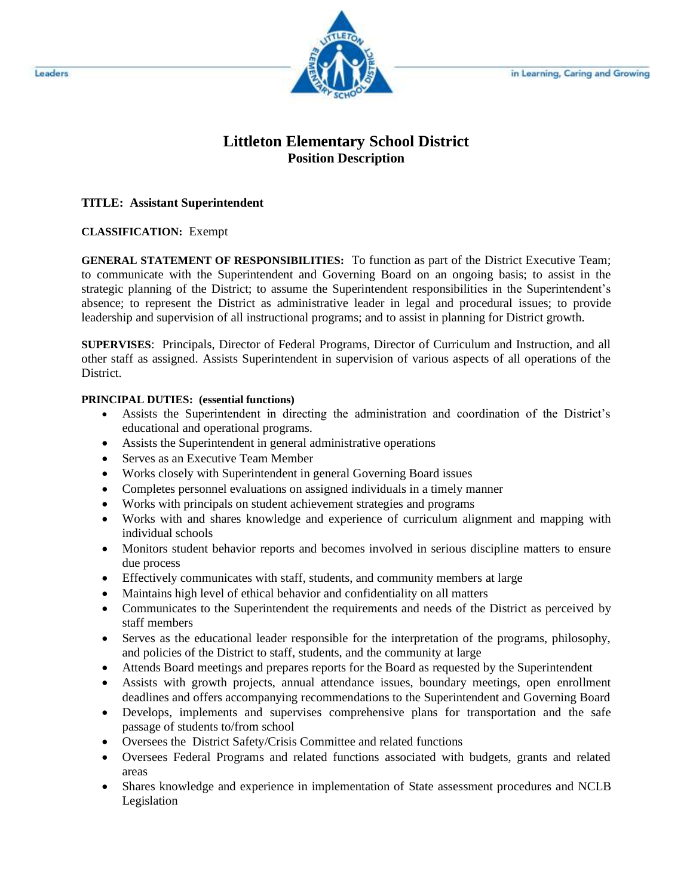

# **Littleton Elementary School District Position Description**

#### **TITLE: Assistant Superintendent**

#### **CLASSIFICATION:** Exempt

**GENERAL STATEMENT OF RESPONSIBILITIES:** To function as part of the District Executive Team; to communicate with the Superintendent and Governing Board on an ongoing basis; to assist in the strategic planning of the District; to assume the Superintendent responsibilities in the Superintendent's absence; to represent the District as administrative leader in legal and procedural issues; to provide leadership and supervision of all instructional programs; and to assist in planning for District growth.

**SUPERVISES**: Principals, Director of Federal Programs, Director of Curriculum and Instruction, and all other staff as assigned. Assists Superintendent in supervision of various aspects of all operations of the District.

### **PRINCIPAL DUTIES: (essential functions)**

- Assists the Superintendent in directing the administration and coordination of the District's educational and operational programs.
- Assists the Superintendent in general administrative operations
- Serves as an Executive Team Member
- Works closely with Superintendent in general Governing Board issues
- Completes personnel evaluations on assigned individuals in a timely manner
- Works with principals on student achievement strategies and programs
- Works with and shares knowledge and experience of curriculum alignment and mapping with individual schools
- Monitors student behavior reports and becomes involved in serious discipline matters to ensure due process
- Effectively communicates with staff, students, and community members at large
- Maintains high level of ethical behavior and confidentiality on all matters
- Communicates to the Superintendent the requirements and needs of the District as perceived by staff members
- Serves as the educational leader responsible for the interpretation of the programs, philosophy, and policies of the District to staff, students, and the community at large
- Attends Board meetings and prepares reports for the Board as requested by the Superintendent
- Assists with growth projects, annual attendance issues, boundary meetings, open enrollment deadlines and offers accompanying recommendations to the Superintendent and Governing Board
- Develops, implements and supervises comprehensive plans for transportation and the safe passage of students to/from school
- Oversees the District Safety/Crisis Committee and related functions
- Oversees Federal Programs and related functions associated with budgets, grants and related areas
- Shares knowledge and experience in implementation of State assessment procedures and NCLB Legislation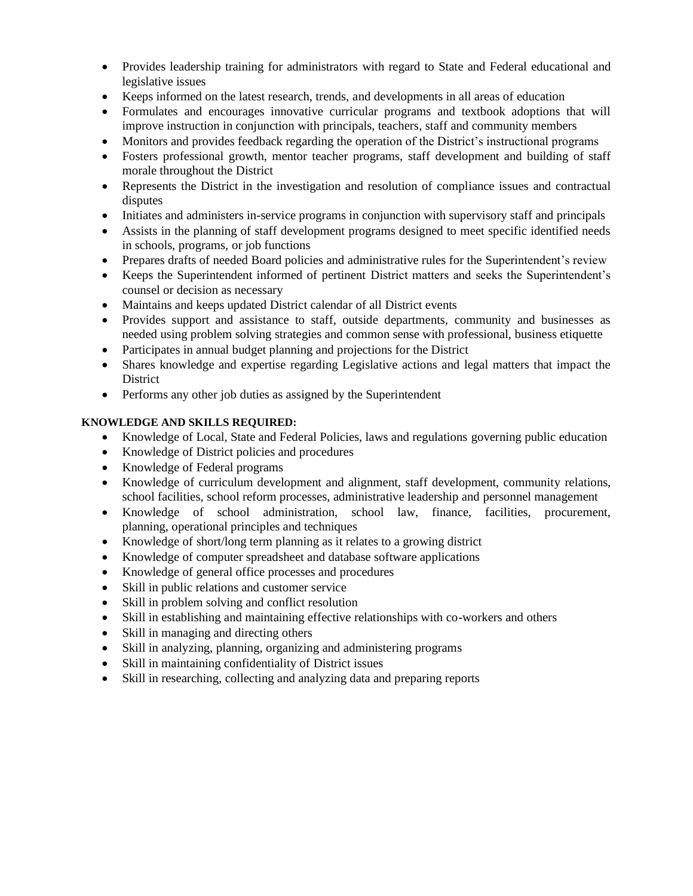- Provides leadership training for administrators with regard to State and Federal educational and legislative issues
- Keeps informed on the latest research, trends, and developments in all areas of education
- Formulates and encourages innovative curricular programs and textbook adoptions that will improve instruction in conjunction with principals, teachers, staff and community members
- Monitors and provides feedback regarding the operation of the District's instructional programs
- Fosters professional growth, mentor teacher programs, staff development and building of staff morale throughout the District
- Represents the District in the investigation and resolution of compliance issues and contractual disputes
- Initiates and administers in-service programs in conjunction with supervisory staff and principals
- Assists in the planning of staff development programs designed to meet specific identified needs in schools, programs, or job functions
- Prepares drafts of needed Board policies and administrative rules for the Superintendent's review
- Keeps the Superintendent informed of pertinent District matters and seeks the Superintendent's counsel or decision as necessary
- Maintains and keeps updated District calendar of all District events
- Provides support and assistance to staff, outside departments, community and businesses as needed using problem solving strategies and common sense with professional, business etiquette
- Participates in annual budget planning and projections for the District
- Shares knowledge and expertise regarding Legislative actions and legal matters that impact the **District**
- Performs any other job duties as assigned by the Superintendent

## **KNOWLEDGE AND SKILLS REQUIRED:**

- Knowledge of Local, State and Federal Policies, laws and regulations governing public education
- Knowledge of District policies and procedures
- Knowledge of Federal programs
- Knowledge of curriculum development and alignment, staff development, community relations, school facilities, school reform processes, administrative leadership and personnel management
- Knowledge of school administration, school law, finance, facilities, procurement, planning, operational principles and techniques
- Knowledge of short/long term planning as it relates to a growing district
- Knowledge of computer spreadsheet and database software applications
- Knowledge of general office processes and procedures
- Skill in public relations and customer service
- Skill in problem solving and conflict resolution
- Skill in establishing and maintaining effective relationships with co-workers and others
- Skill in managing and directing others
- Skill in analyzing, planning, organizing and administering programs
- Skill in maintaining confidentiality of District issues
- Skill in researching, collecting and analyzing data and preparing reports